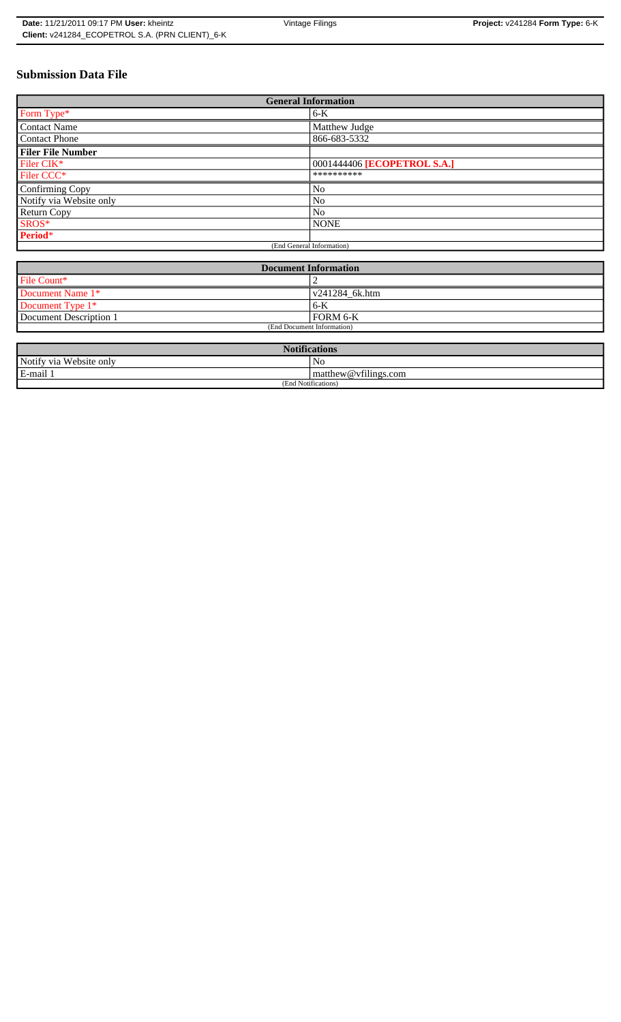# **Submission Data File**

| <b>General Information</b> |                             |  |
|----------------------------|-----------------------------|--|
| Form Type*                 | $6-K$                       |  |
| <b>Contact Name</b>        | Matthew Judge               |  |
| <b>Contact Phone</b>       | 866-683-5332                |  |
| <b>Filer File Number</b>   |                             |  |
| Filer CIK*                 | 0001444406 [ECOPETROL S.A.] |  |
| Filer CCC*                 | **********                  |  |
| Confirming Copy            | No                          |  |
| Notify via Website only    | N <sub>0</sub>              |  |
| <b>Return Copy</b>         | N <sub>0</sub>              |  |
| SROS*                      | <b>NONE</b>                 |  |
| Period*                    |                             |  |
| (End General Information)  |                             |  |

| <b>Document Information</b> |                        |  |
|-----------------------------|------------------------|--|
| File Count*                 |                        |  |
| Document Name 1*            | $\sqrt{241284}$ 6k.htm |  |
| Document Type 1*            | 6-K                    |  |
| Document Description 1      | FORM 6-K               |  |
| (End Document Information)  |                        |  |

| <b>Notifications</b>    |                                |  |
|-------------------------|--------------------------------|--|
| Notify via Website only | No                             |  |
| E-mail 1                | $\vert$ matthew @ vfilings.com |  |
| (End Notifications)     |                                |  |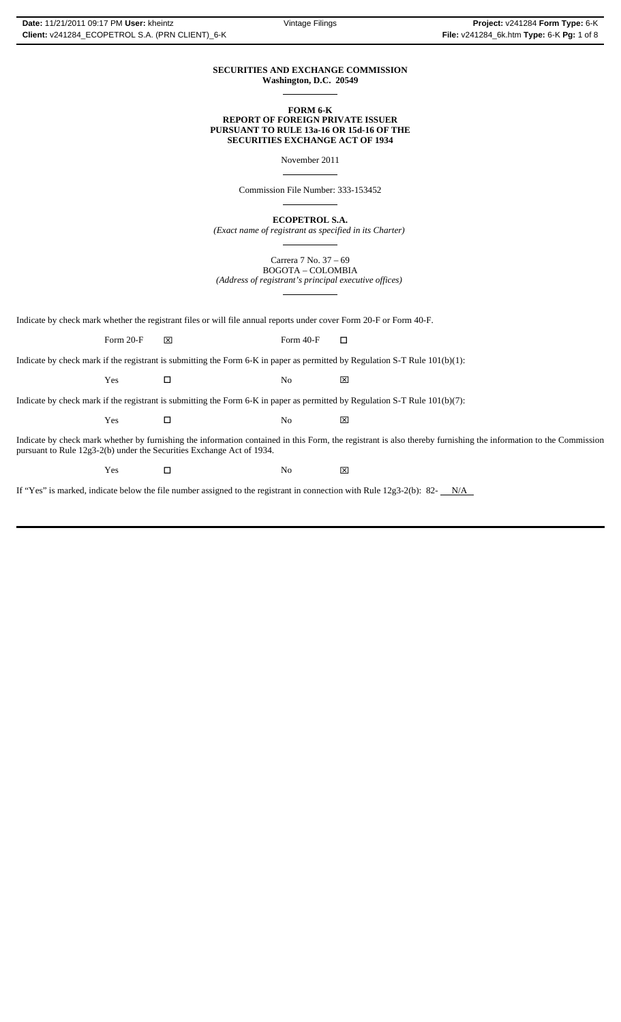#### **SECURITIES AND EXCHANGE COMMISSION Washington, D.C. 20549**

 $\overline{a}$ 

 $\overline{a}$ 

 $\overline{a}$ 

**FORM 6-K REPORT OF FOREIGN PRIVATE ISSUER PURSUANT TO RULE 13a-16 OR 15d-16 OF THE SECURITIES EXCHANGE ACT OF 1934**

November 2011

Commission File Number: 333-153452

**ECOPETROL S.A.**

*(Exact name of registrant as specified in its Charter)*  $\overline{a}$ 

> Carrera 7 No. 37 – 69 BOGOTA – COLOMBIA

*(Address of registrant's principal executive offices)*  $\overline{a}$ 

Indicate by check mark whether the registrant files or will file annual reports under cover Form 20-F or Form 40-F.

Form 20-F  $\boxtimes$  Form 40-F  $\Box$ 

Indicate by check mark if the registrant is submitting the Form 6-K in paper as permitted by Regulation S-T Rule 101(b)(1):

Yes □ No ⊠

Indicate by check mark if the registrant is submitting the Form 6-K in paper as permitted by Regulation S-T Rule 101(b)(7):

| $ -$<br>Y es<br>--- | N.<br>v | ⊠<br>__ |
|---------------------|---------|---------|
|                     |         |         |

Indicate by check mark whether by furnishing the information contained in this Form, the registrant is also thereby furnishing the information to the Commission pursuant to Rule 12g3-2(b) under the Securities Exchange Act of 1934.

 $Yes$   $\square$  No  $\boxtimes$ 

If "Yes" is marked, indicate below the file number assigned to the registrant in connection with Rule 12g3-2(b): 82- $N/A$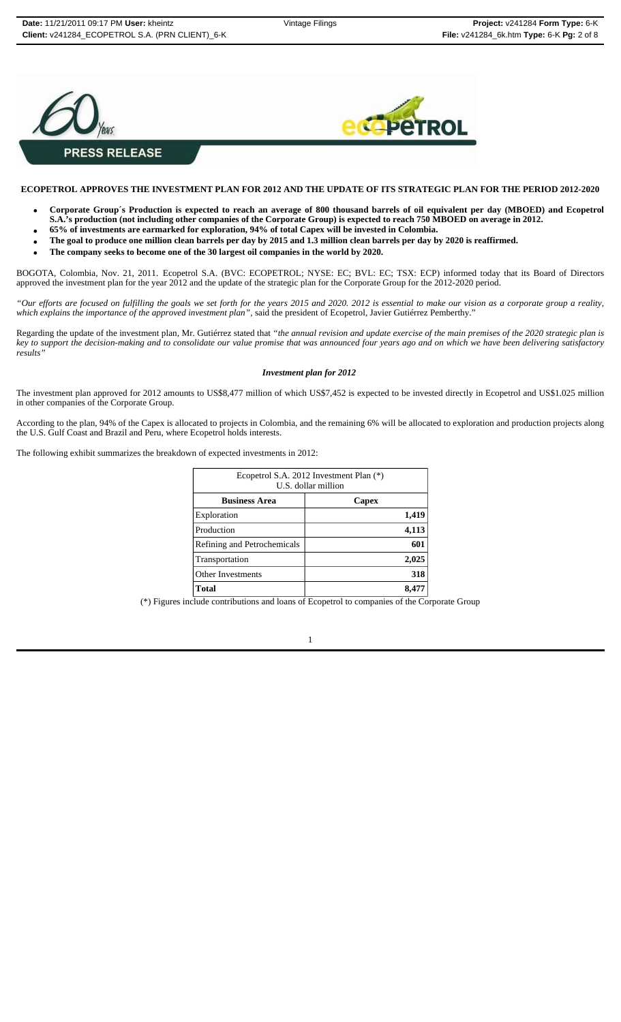



## **ECOPETROL APPROVES THE INVESTMENT PLAN FOR 2012 AND THE UPDATE OF ITS STRATEGIC PLAN FOR THE PERIOD 2012-2020**

- **Corporate Group´s Production is expected to reach an average of 800 thousand barrels of oil equivalent per day (MBOED) and Ecopetrol**
- **S.A.'s production (not including other companies of the Corporate Group) is expected to reach 750 MBOED on average in 2012.**
- **65% of investments are earmarked for exploration, 94% of total Capex will be invested in Colombia.**
- **The goal to produce one million clean barrels per day by 2015 and 1.3 million clean barrels per day by 2020 is reaffirmed.**
- **The company seeks to become one of the 30 largest oil companies in the world by 2020.**

BOGOTA, Colombia, Nov. 21, 2011. Ecopetrol S.A. (BVC: ECOPETROL; NYSE: EC; BVL: EC; TSX: ECP) informed today that its Board of Directors approved the investment plan for the year 2012 and the update of the strategic plan for the Corporate Group for the 2012-2020 period.

*"Our efforts are focused on fulfilling the goals we set forth for the years 2015 and 2020. 2012 is essential to make our vision as a corporate group a reality, which explains the importance of the approved investment plan",* said the president of Ecopetrol, Javier Gutiérrez Pemberthy."

Regarding the update of the investment plan, Mr. Gutiérrez stated that *"the annual revision and update exercise of the main premises of the 2020 strategic plan is key to support the decision-making and to consolidate our value promise that was announced four years ago and on which we have been delivering satisfactory results"*

#### *Investment plan for 2012*

The investment plan approved for 2012 amounts to US\$8,477 million of which US\$7,452 is expected to be invested directly in Ecopetrol and US\$1.025 million in other companies of the Corporate Group.

According to the plan, 94% of the Capex is allocated to projects in Colombia, and the remaining 6% will be allocated to exploration and production projects along the U.S. Gulf Coast and Brazil and Peru, where Ecopetrol holds interests.

The following exhibit summarizes the breakdown of expected investments in 2012:

| Ecopetrol S.A. 2012 Investment Plan (*)<br>U.S. dollar million |  |  |
|----------------------------------------------------------------|--|--|
|                                                                |  |  |
| Capex                                                          |  |  |
| 1,419                                                          |  |  |
| 4,113                                                          |  |  |
| 601                                                            |  |  |
| 2,025                                                          |  |  |
| 318                                                            |  |  |
| 8,477                                                          |  |  |
|                                                                |  |  |

(\*) Figures include contributions and loans of Ecopetrol to companies of the Corporate Group

1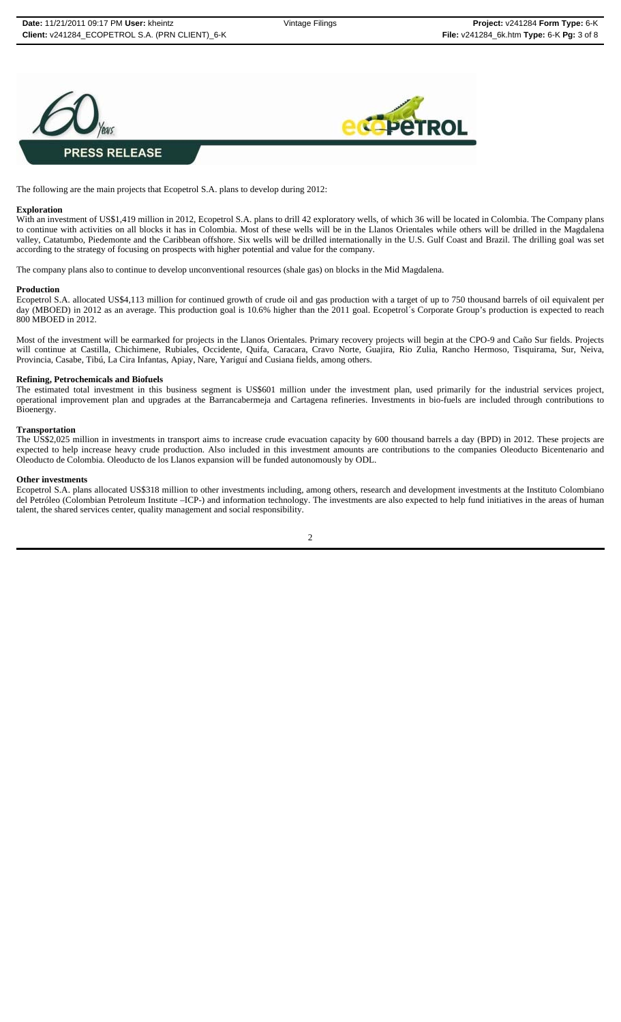



The following are the main projects that Ecopetrol S.A. plans to develop during 2012:

#### **Exploration**

With an investment of US\$1,419 million in 2012, Ecopetrol S.A. plans to drill 42 exploratory wells, of which 36 will be located in Colombia. The Company plans to continue with activities on all blocks it has in Colombia. Most of these wells will be in the Llanos Orientales while others will be drilled in the Magdalena valley, Catatumbo, Piedemonte and the Caribbean offshore. Six wells will be drilled internationally in the U.S. Gulf Coast and Brazil. The drilling goal was set according to the strategy of focusing on prospects with higher potential and value for the company.

The company plans also to continue to develop unconventional resources (shale gas) on blocks in the Mid Magdalena.

#### **Production**

Ecopetrol S.A. allocated US\$4,113 million for continued growth of crude oil and gas production with a target of up to 750 thousand barrels of oil equivalent per day (MBOED) in 2012 as an average. This production goal is 10.6% higher than the 2011 goal. Ecopetrol´s Corporate Group's production is expected to reach 800 MBOED in 2012.

Most of the investment will be earmarked for projects in the Llanos Orientales. Primary recovery projects will begin at the CPO-9 and Caño Sur fields. Projects will continue at Castilla, Chichimene, Rubiales, Occidente, Quifa, Caracara, Cravo Norte, Guajira, Rio Zulia, Rancho Hermoso, Tisquirama, Sur, Neiva, Provincia, Casabe, Tibú, La Cira Infantas, Apiay, Nare, Yariguí and Cusiana fields, among others.

#### **Refining, Petrochemicals and Biofuels**

The estimated total investment in this business segment is US\$601 million under the investment plan, used primarily for the industrial services project, operational improvement plan and upgrades at the Barrancabermeja and Cartagena refineries. Investments in bio-fuels are included through contributions to Bioenergy.

#### **Transportation**

The US\$2,025 million in investments in transport aims to increase crude evacuation capacity by 600 thousand barrels a day (BPD) in 2012. These projects are expected to help increase heavy crude production. Also included in this investment amounts are contributions to the companies Oleoducto Bicentenario and Oleoducto de Colombia. Oleoducto de los Llanos expansion will be funded autonomously by ODL.

#### **Other investments**

Ecopetrol S.A. plans allocated US\$318 million to other investments including, among others, research and development investments at the Instituto Colombiano del Petróleo (Colombian Petroleum Institute –ICP-) and information technology. The investments are also expected to help fund initiatives in the areas of human talent, the shared services center, quality management and social responsibility.

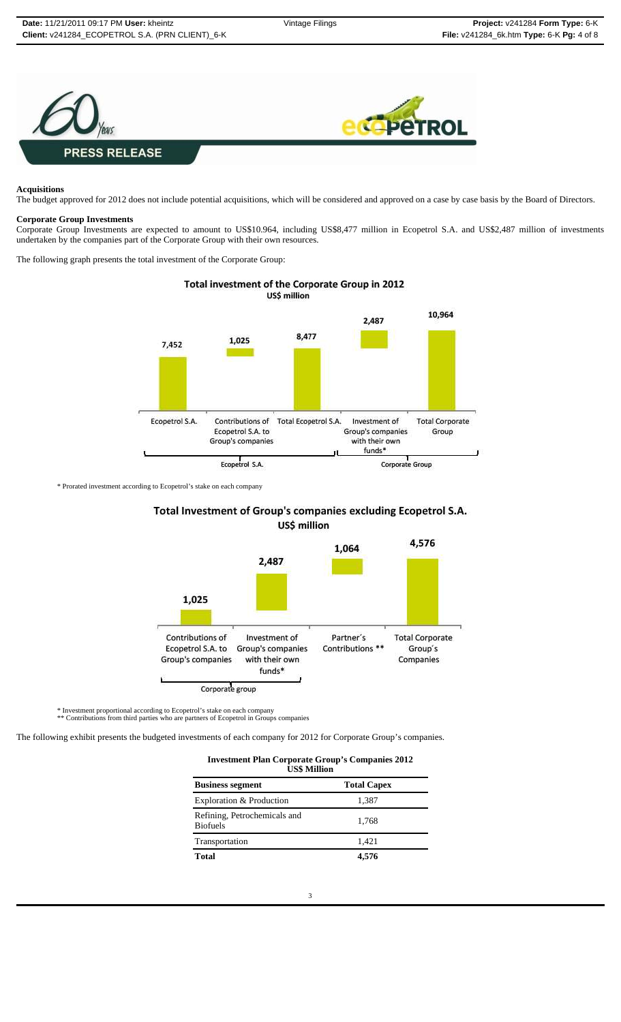

#### **Acquisitions**

The budget approved for 2012 does not include potential acquisitions, which will be considered and approved on a case by case basis by the Board of Directors.

#### **Corporate Group Investments**

Corporate Group Investments are expected to amount to US\$10.964, including US\$8,477 million in Ecopetrol S.A. and US\$2,487 million of investments undertaken by the companies part of the Corporate Group with their own resources.

The following graph presents the total investment of the Corporate Group:



\* Prorated investment according to Ecopetrol's stake on each company

# Total Investment of Group's companies excluding Ecopetrol S.A. US\$ million



\* Investment proportional according to Ecopetrol's stake on each company \*\* Contributions from third parties who are partners of Ecopetrol in Groups companies

The following exhibit presents the budgeted investments of each company for 2012 for Corporate Group's companies.

| <b>Investment Plan Corporate Group's Companies 2012</b> |  |
|---------------------------------------------------------|--|
| $TTOA$ $R$ $FIII$                                       |  |

| USS Million                                     |                    |  |  |
|-------------------------------------------------|--------------------|--|--|
| <b>Business segment</b>                         | <b>Total Capex</b> |  |  |
| Exploration & Production                        | 1,387              |  |  |
| Refining, Petrochemicals and<br><b>Biofuels</b> | 1.768              |  |  |
| Transportation                                  | 1,421              |  |  |
| Total                                           | 4.576              |  |  |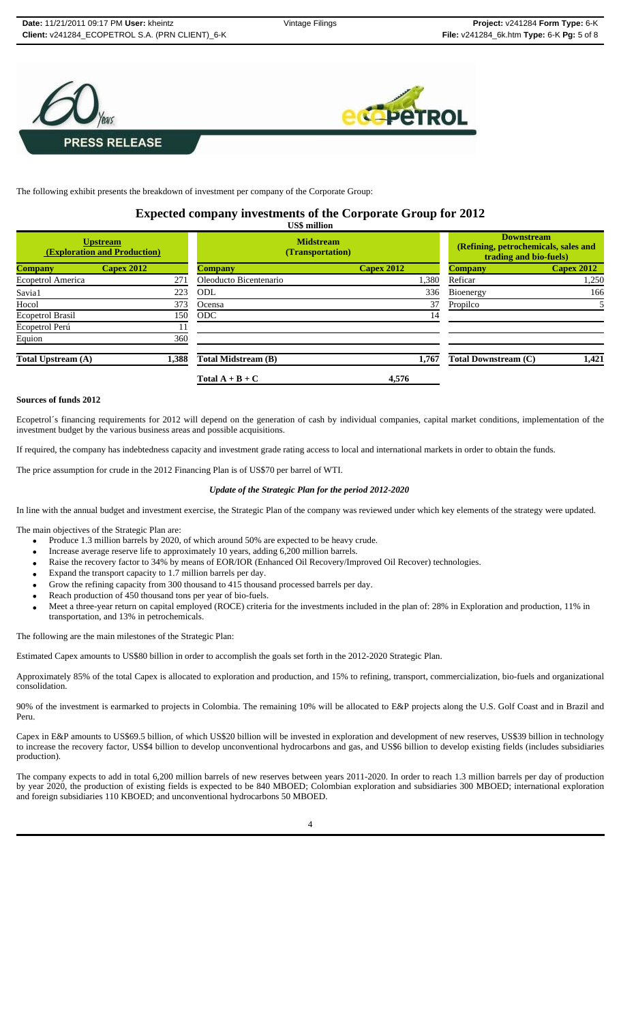



The following exhibit presents the breakdown of investment per company of the Corporate Group:

# **Expected company investments of the Corporate Group for 2012 US\$ million**

| <b>Upstream</b><br><b>(Exploration and Production)</b> |                   | <b>Midstream</b><br>(Transportation) |                   | <b>Downstream</b><br>(Refining, petrochemicals, sales and<br>trading and bio-fuels) |                   |
|--------------------------------------------------------|-------------------|--------------------------------------|-------------------|-------------------------------------------------------------------------------------|-------------------|
| <b>Company</b>                                         | <b>Capex 2012</b> | <b>Company</b>                       | <b>Capex 2012</b> | <b>Company</b>                                                                      | <b>Capex 2012</b> |
| Ecopetrol America                                      | 271               | Oleoducto Bicentenario               | 1,380             | Reficar                                                                             | 1,250             |
| Savia1                                                 | 223               | ODL                                  | 336               | Bioenergy                                                                           | 166               |
| Hocol                                                  | 373               | Ocensa                               | 37                | Propilco                                                                            |                   |
| Ecopetrol Brasil                                       | 150               | <b>ODC</b>                           | 14                |                                                                                     |                   |
| Ecopetrol Perú                                         |                   |                                      |                   |                                                                                     |                   |
| Equion                                                 | 360               |                                      |                   |                                                                                     |                   |
| Total Upstream (A)                                     | 1,388             | Total Midstream (B)                  | 1,767             | <b>Total Downstream (C)</b>                                                         | 1,421             |
|                                                        |                   | Total $A + B + C$                    | 4,576             |                                                                                     |                   |

# **Sources of funds 2012**

Ecopetrol´s financing requirements for 2012 will depend on the generation of cash by individual companies, capital market conditions, implementation of the investment budget by the various business areas and possible acquisitions.

If required, the company has indebtedness capacity and investment grade rating access to local and international markets in order to obtain the funds.

The price assumption for crude in the 2012 Financing Plan is of US\$70 per barrel of WTI.

### *Update of the Strategic Plan for the period 2012-2020*

In line with the annual budget and investment exercise, the Strategic Plan of the company was reviewed under which key elements of the strategy were updated.

The main objectives of the Strategic Plan are:

- Produce 1.3 million barrels by 2020, of which around 50% are expected to be heavy crude.
- Increase average reserve life to approximately 10 years, adding 6,200 million barrels.
- Raise the recovery factor to 34% by means of EOR/IOR (Enhanced Oil Recovery/Improved Oil Recover) technologies.
- Expand the transport capacity to 1.7 million barrels per day.
- Grow the refining capacity from 300 thousand to 415 thousand processed barrels per day.
- Reach production of 450 thousand tons per year of bio-fuels.
- Meet a three-year return on capital employed (ROCE) criteria for the investments included in the plan of: 28% in Exploration and production, 11% in transportation, and 13% in petrochemicals.

The following are the main milestones of the Strategic Plan:

Estimated Capex amounts to US\$80 billion in order to accomplish the goals set forth in the 2012-2020 Strategic Plan.

Approximately 85% of the total Capex is allocated to exploration and production, and 15% to refining, transport, commercialization, bio-fuels and organizational consolidation.

90% of the investment is earmarked to projects in Colombia. The remaining 10% will be allocated to E&P projects along the U.S. Golf Coast and in Brazil and Peru.

Capex in E&P amounts to US\$69.5 billion, of which US\$20 billion will be invested in exploration and development of new reserves, US\$39 billion in technology to increase the recovery factor, US\$4 billion to develop unconventional hydrocarbons and gas, and US\$6 billion to develop existing fields (includes subsidiaries production).

The company expects to add in total 6,200 million barrels of new reserves between years 2011-2020. In order to reach 1.3 million barrels per day of production by year 2020, the production of existing fields is expected to be 840 MBOED; Colombian exploration and subsidiaries 300 MBOED; international exploration and foreign subsidiaries 110 KBOED; and unconventional hydrocarbons 50 MBOED.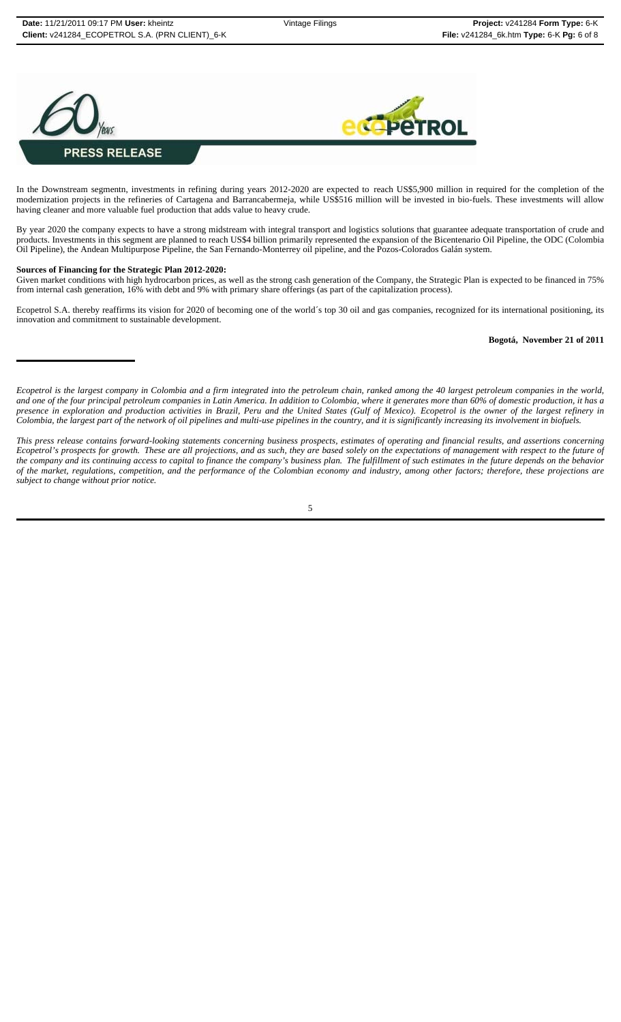



In the Downstream segmentn, investments in refining during years 2012-2020 are expected to reach US\$5,900 million in required for the completion of the modernization projects in the refineries of Cartagena and Barrancabermeja, while US\$516 million will be invested in bio-fuels. These investments will allow having cleaner and more valuable fuel production that adds value to heavy crude.

By year 2020 the company expects to have a strong midstream with integral transport and logistics solutions that guarantee adequate transportation of crude and products. Investments in this segment are planned to reach US\$4 billion primarily represented the expansion of the Bicentenario Oil Pipeline, the ODC (Colombia Oil Pipeline), the Andean Multipurpose Pipeline, the San Fernando-Monterrey oil pipeline, and the Pozos-Colorados Galán system.

#### **Sources of Financing for the Strategic Plan 2012-2020:**

Given market conditions with high hydrocarbon prices, as well as the strong cash generation of the Company, the Strategic Plan is expected to be financed in 75% from internal cash generation, 16% with debt and 9% with primary share offerings (as part of the capitalization process).

Ecopetrol S.A. thereby reaffirms its vision for 2020 of becoming one of the world's top 30 oil and gas companies, recognized for its international positioning, its innovation and commitment to sustainable development.

#### **Bogotá, November 21 of 2011**

*Ecopetrol is the largest company in Colombia and a firm integrated into the petroleum chain, ranked among the 40 largest petroleum companies in the world, and one of the four principal petroleum companies in Latin America. In addition to Colombia, where it generates more than 60% of domestic production, it has a presence in exploration and production activities in Brazil, Peru and the United States (Gulf of Mexico). Ecopetrol is the owner of the largest refinery in Colombia, the largest part of the network of oil pipelines and multi-use pipelines in the country, and it is significantly increasing its involvement in biofuels.*

*This press release contains forward-looking statements concerning business prospects, estimates of operating and financial results, and assertions concerning Ecopetrol's prospects for growth. These are all projections, and as such, they are based solely on the expectations of management with respect to the future of the company and its continuing access to capital to finance the company's business plan. The fulfillment of such estimates in the future depends on the behavior of the market, regulations, competition, and the performance of the Colombian economy and industry, among other factors; therefore, these projections are subject to change without prior notice.*

5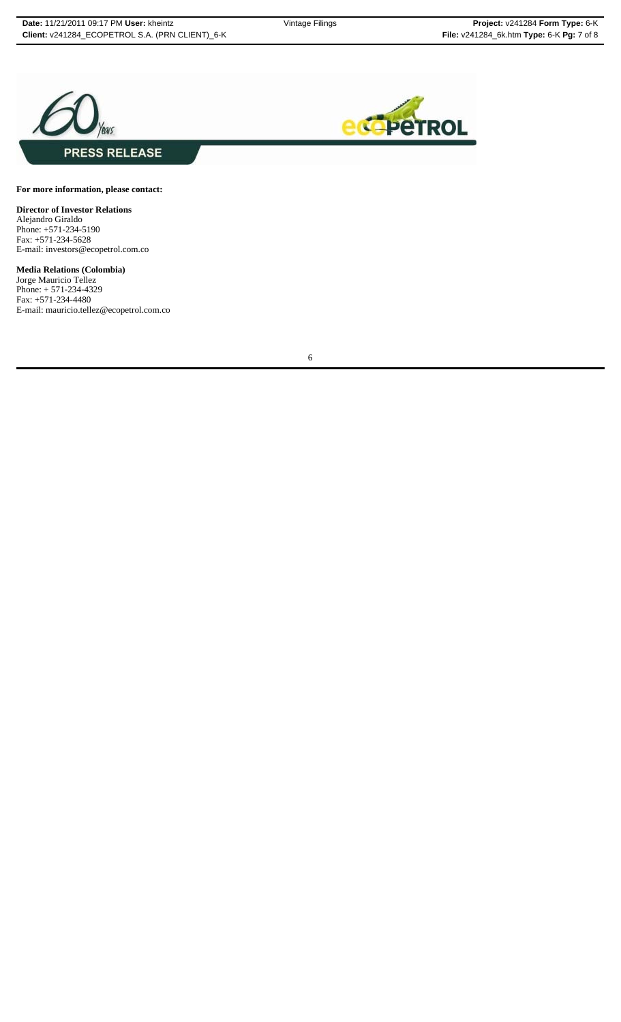



**For more information, please contact:**

**Director of Investor Relations** Alejandro Giraldo Phone: +571-234-5190 Fax: +571-234-5628 E-mail: investors@ecopetrol.com.co

**Media Relations (Colombia)** Jorge Mauricio Tellez Phone: + 571-234-4329 Fax: +571-234-4480 E-mail: mauricio.tellez@ecopetrol.com.co